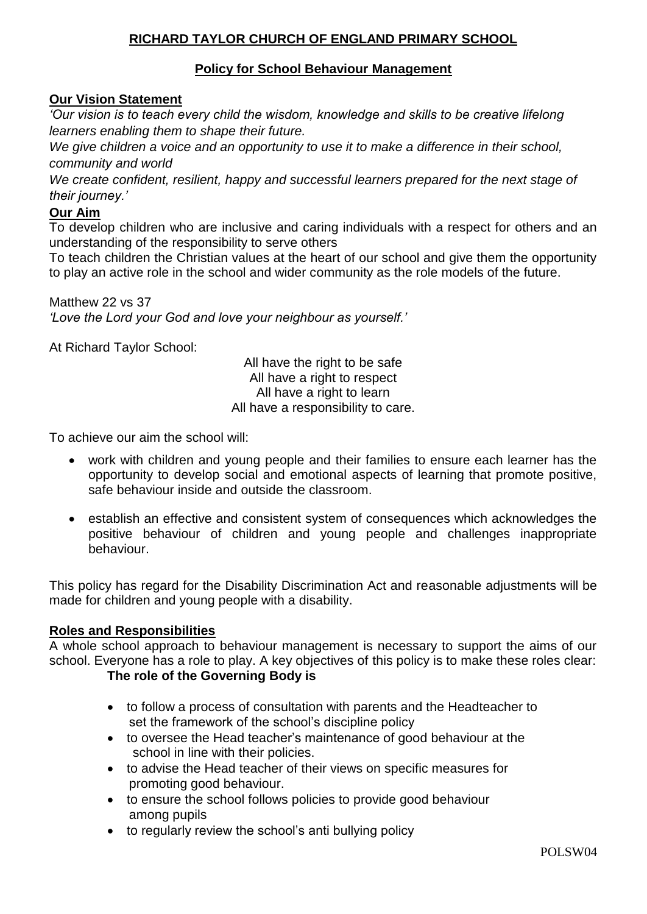## **RICHARD TAYLOR CHURCH OF ENGLAND PRIMARY SCHOOL**

## **Policy for School Behaviour Management**

## **Our Vision Statement**

*'Our vision is to teach every child the wisdom, knowledge and skills to be creative lifelong learners enabling them to shape their future.*

*We give children a voice and an opportunity to use it to make a difference in their school, community and world*

*We create confident, resilient, happy and successful learners prepared for the next stage of their journey.'*

## **Our Aim**

To develop children who are inclusive and caring individuals with a respect for others and an understanding of the responsibility to serve others

To teach children the Christian values at the heart of our school and give them the opportunity to play an active role in the school and wider community as the role models of the future.

Matthew 22 vs 37 *'Love the Lord your God and love your neighbour as yourself.'*

At Richard Taylor School:

All have the right to be safe All have a right to respect All have a right to learn All have a responsibility to care.

To achieve our aim the school will:

- work with children and young people and their families to ensure each learner has the opportunity to develop social and emotional aspects of learning that promote positive, safe behaviour inside and outside the classroom.
- establish an effective and consistent system of consequences which acknowledges the positive behaviour of children and young people and challenges inappropriate behaviour.

This policy has regard for the Disability Discrimination Act and reasonable adjustments will be made for children and young people with a disability.

## **Roles and Responsibilities**

A whole school approach to behaviour management is necessary to support the aims of our school. Everyone has a role to play. A key objectives of this policy is to make these roles clear:

# **The role of the Governing Body is**

- to follow a process of consultation with parents and the Headteacher to set the framework of the school's discipline policy
- to oversee the Head teacher's maintenance of good behaviour at the school in line with their policies.
- to advise the Head teacher of their views on specific measures for promoting good behaviour.
- to ensure the school follows policies to provide good behaviour among pupils
- to regularly review the school's anti bullying policy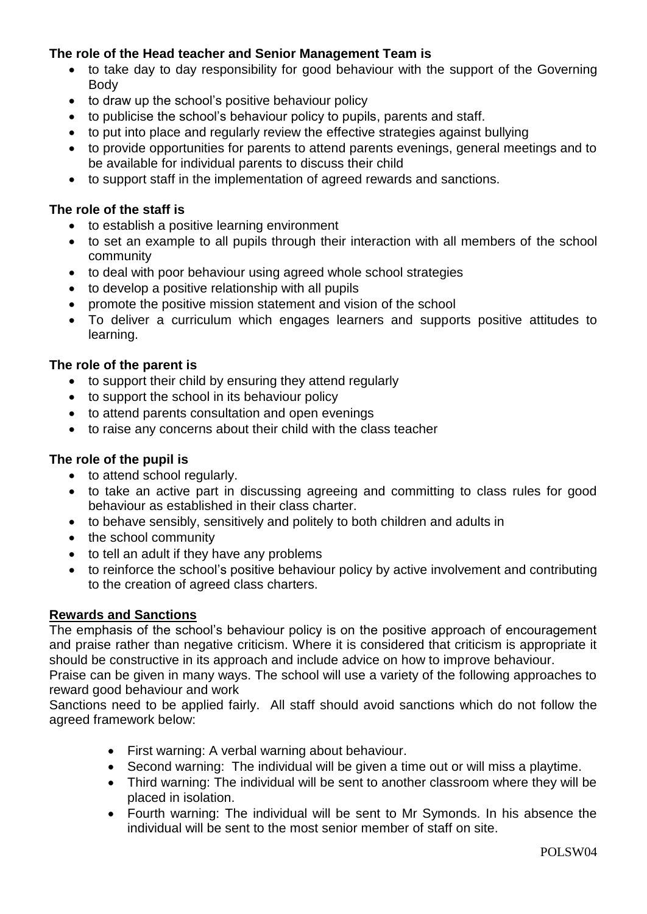## **The role of the Head teacher and Senior Management Team is**

- to take day to day responsibility for good behaviour with the support of the Governing Body
- to draw up the school's positive behaviour policy
- to publicise the school's behaviour policy to pupils, parents and staff.
- to put into place and regularly review the effective strategies against bullying
- to provide opportunities for parents to attend parents evenings, general meetings and to be available for individual parents to discuss their child
- to support staff in the implementation of agreed rewards and sanctions.

#### **The role of the staff is**

- to establish a positive learning environment
- to set an example to all pupils through their interaction with all members of the school community
- to deal with poor behaviour using agreed whole school strategies
- to develop a positive relationship with all pupils
- promote the positive mission statement and vision of the school
- To deliver a curriculum which engages learners and supports positive attitudes to learning.

#### **The role of the parent is**

- to support their child by ensuring they attend regularly
- to support the school in its behaviour policy
- to attend parents consultation and open evenings
- to raise any concerns about their child with the class teacher

#### **The role of the pupil is**

- to attend school regularly.
- to take an active part in discussing agreeing and committing to class rules for good behaviour as established in their class charter.
- to behave sensibly, sensitively and politely to both children and adults in
- the school community
- to tell an adult if they have any problems
- to reinforce the school's positive behaviour policy by active involvement and contributing to the creation of agreed class charters.

#### **Rewards and Sanctions**

The emphasis of the school's behaviour policy is on the positive approach of encouragement and praise rather than negative criticism. Where it is considered that criticism is appropriate it should be constructive in its approach and include advice on how to improve behaviour.

Praise can be given in many ways. The school will use a variety of the following approaches to reward good behaviour and work

Sanctions need to be applied fairly. All staff should avoid sanctions which do not follow the agreed framework below:

- First warning: A verbal warning about behaviour.
- Second warning: The individual will be given a time out or will miss a playtime.
- Third warning: The individual will be sent to another classroom where they will be placed in isolation.
- Fourth warning: The individual will be sent to Mr Symonds. In his absence the individual will be sent to the most senior member of staff on site.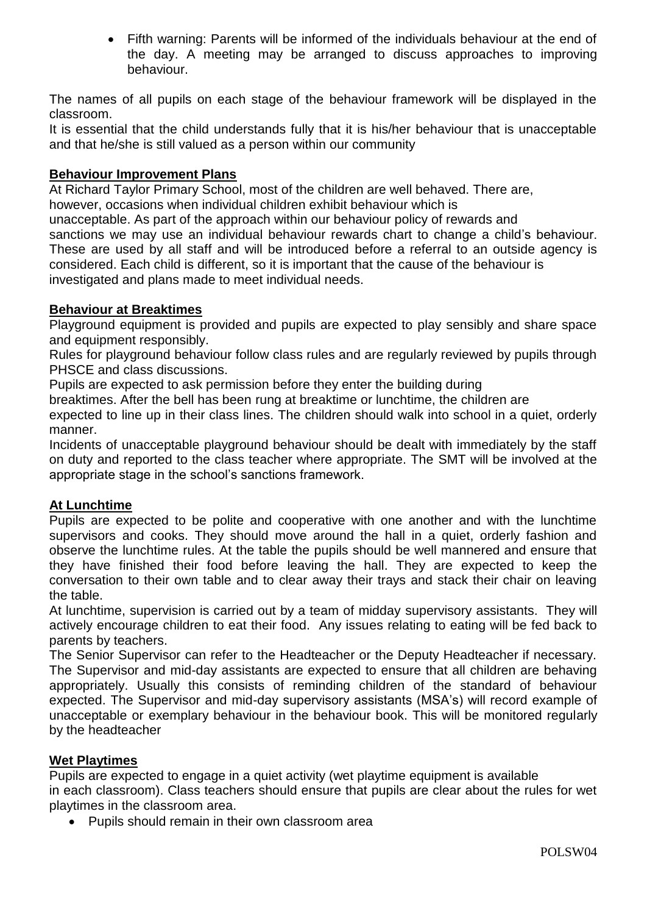Fifth warning: Parents will be informed of the individuals behaviour at the end of the day. A meeting may be arranged to discuss approaches to improving behaviour.

The names of all pupils on each stage of the behaviour framework will be displayed in the classroom.

It is essential that the child understands fully that it is his/her behaviour that is unacceptable and that he/she is still valued as a person within our community

## **Behaviour Improvement Plans**

At Richard Taylor Primary School, most of the children are well behaved. There are, however, occasions when individual children exhibit behaviour which is

unacceptable. As part of the approach within our behaviour policy of rewards and sanctions we may use an individual behaviour rewards chart to change a child's behaviour. These are used by all staff and will be introduced before a referral to an outside agency is considered. Each child is different, so it is important that the cause of the behaviour is investigated and plans made to meet individual needs.

## **Behaviour at Breaktimes**

Playground equipment is provided and pupils are expected to play sensibly and share space and equipment responsibly.

Rules for playground behaviour follow class rules and are regularly reviewed by pupils through PHSCE and class discussions.

Pupils are expected to ask permission before they enter the building during

breaktimes. After the bell has been rung at breaktime or lunchtime, the children are

expected to line up in their class lines. The children should walk into school in a quiet, orderly manner.

Incidents of unacceptable playground behaviour should be dealt with immediately by the staff on duty and reported to the class teacher where appropriate. The SMT will be involved at the appropriate stage in the school's sanctions framework.

## **At Lunchtime**

Pupils are expected to be polite and cooperative with one another and with the lunchtime supervisors and cooks. They should move around the hall in a quiet, orderly fashion and observe the lunchtime rules. At the table the pupils should be well mannered and ensure that they have finished their food before leaving the hall. They are expected to keep the conversation to their own table and to clear away their trays and stack their chair on leaving the table.

At lunchtime, supervision is carried out by a team of midday supervisory assistants. They will actively encourage children to eat their food. Any issues relating to eating will be fed back to parents by teachers.

The Senior Supervisor can refer to the Headteacher or the Deputy Headteacher if necessary. The Supervisor and mid-day assistants are expected to ensure that all children are behaving appropriately. Usually this consists of reminding children of the standard of behaviour expected. The Supervisor and mid-day supervisory assistants (MSA's) will record example of unacceptable or exemplary behaviour in the behaviour book. This will be monitored regularly by the headteacher

## **Wet Playtimes**

Pupils are expected to engage in a quiet activity (wet playtime equipment is available in each classroom). Class teachers should ensure that pupils are clear about the rules for wet playtimes in the classroom area.

Pupils should remain in their own classroom area